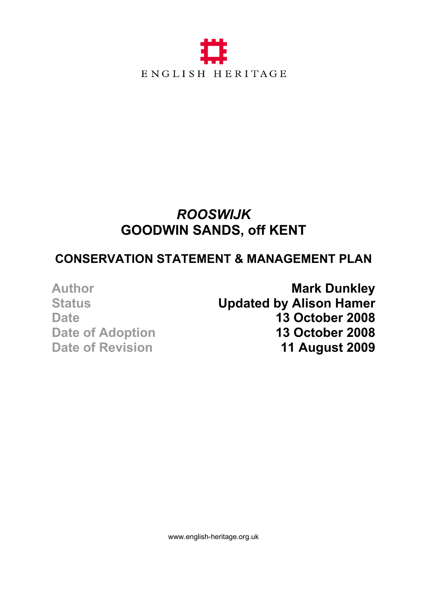

# *ROOSWIJK*  **GOODWIN SANDS, off KENT**

# **CONSERVATION STATEMENT & MANAGEMENT PLAN**

Author **Mark Dunkley Status Updated by Alison Hamer Date 13 October 2008 Date of Adoption 13 October 2008 Date of Revision 11 August 2009**

www.english-heritage.org.uk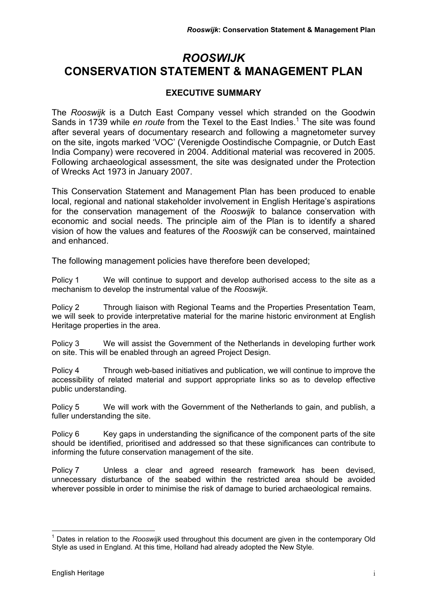# *ROOSWIJK*  **CONSERVATION STATEMENT & MANAGEMENT PLAN**

### **EXECUTIVE SUMMARY**

The *Rooswijk* is a Dutch East Company vessel which stranded on the Goodwin Sands in 1739 while *en route* from the Texel to the East Indies.<sup>1</sup> The site was found after several years of documentary research and following a magnetometer survey on the site, ingots marked 'VOC' (Verenigde Oostindische Compagnie, or Dutch East India Company) were recovered in 2004. Additional material was recovered in 2005. Following archaeological assessment, the site was designated under the Protection of Wrecks Act 1973 in January 2007.

This Conservation Statement and Management Plan has been produced to enable local, regional and national stakeholder involvement in English Heritage's aspirations for the conservation management of the *Rooswijk* to balance conservation with economic and social needs. The principle aim of the Plan is to identify a shared vision of how the values and features of the *Rooswijk* can be conserved, maintained and enhanced.

The following management policies have therefore been developed;

Policy 1 We will continue to support and develop authorised access to the site as a mechanism to develop the instrumental value of the *Rooswijk*.

Policy 2 Through liaison with Regional Teams and the Properties Presentation Team, we will seek to provide interpretative material for the marine historic environment at English Heritage properties in the area.

Policy 3 We will assist the Government of the Netherlands in developing further work on site. This will be enabled through an agreed Project Design.

Policy 4 Through web-based initiatives and publication, we will continue to improve the accessibility of related material and support appropriate links so as to develop effective public understanding.

Policy 5 We will work with the Government of the Netherlands to gain, and publish, a fuller understanding the site.

Policy 6 Key gaps in understanding the significance of the component parts of the site should be identified, prioritised and addressed so that these significances can contribute to informing the future conservation management of the site.

Policy 7 Unless a clear and agreed research framework has been devised, unnecessary disturbance of the seabed within the restricted area should be avoided wherever possible in order to minimise the risk of damage to buried archaeological remains.

 $\overline{a}$ <sup>1</sup> Dates in relation to the *Rooswijk* used throughout this document are given in the contemporary Old Style as used in England. At this time, Holland had already adopted the New Style.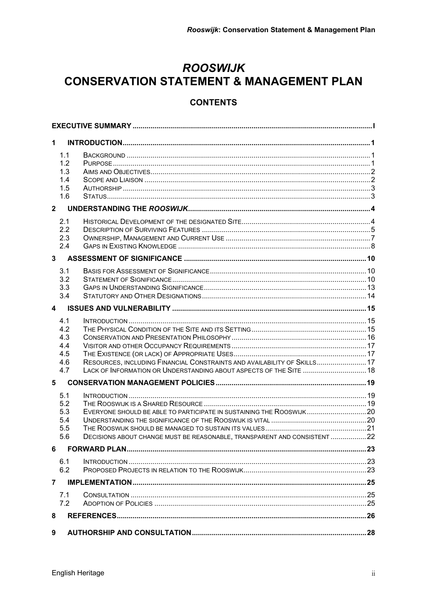# **ROOSWIJK CONSERVATION STATEMENT & MANAGEMENT PLAN**

### **CONTENTS**

| 1.                      |                                               |                                                                                                                                                 |  |  |  |
|-------------------------|-----------------------------------------------|-------------------------------------------------------------------------------------------------------------------------------------------------|--|--|--|
|                         | 1.1<br>1.2<br>1.3<br>1.4<br>1.5<br>1.6        |                                                                                                                                                 |  |  |  |
| 2 <sup>1</sup>          |                                               |                                                                                                                                                 |  |  |  |
|                         | 2.1<br>2.2<br>2.3<br>2.4                      |                                                                                                                                                 |  |  |  |
| 3                       |                                               |                                                                                                                                                 |  |  |  |
|                         | 3.1<br>3.2<br>3.3<br>3.4                      |                                                                                                                                                 |  |  |  |
| $\overline{\mathbf{4}}$ |                                               |                                                                                                                                                 |  |  |  |
|                         | 4.1<br>4.2<br>4.3<br>4.4<br>4.5<br>4.6<br>4.7 | RESOURCES, INCLUDING FINANCIAL CONSTRAINTS AND AVAILABILITY OF SKILLS 17<br>LACK OF INFORMATION OR UNDERSTANDING ABOUT ASPECTS OF THE SITE  18  |  |  |  |
| 5                       |                                               |                                                                                                                                                 |  |  |  |
|                         | 5.1<br>5.2<br>5.3<br>5.4<br>5.5<br>5.6        | EVERYONE SHOULD BE ABLE TO PARTICIPATE IN SUSTAINING THE ROOSWIJK20<br>DECISIONS ABOUT CHANGE MUST BE REASONABLE, TRANSPARENT AND CONSISTENT 22 |  |  |  |
| 6                       |                                               |                                                                                                                                                 |  |  |  |
|                         | 6.1<br>6.2                                    |                                                                                                                                                 |  |  |  |
| 7                       |                                               |                                                                                                                                                 |  |  |  |
|                         | 7.1<br>7.2                                    |                                                                                                                                                 |  |  |  |
| 8                       |                                               |                                                                                                                                                 |  |  |  |
| 9                       |                                               |                                                                                                                                                 |  |  |  |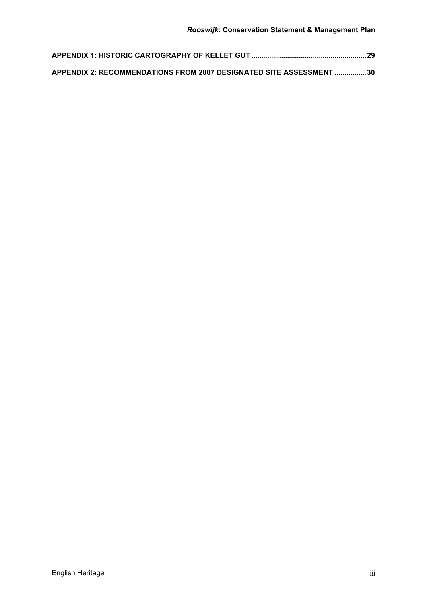| APPENDIX 2: RECOMMENDATIONS FROM 2007 DESIGNATED SITE ASSESSMENT 30 |  |
|---------------------------------------------------------------------|--|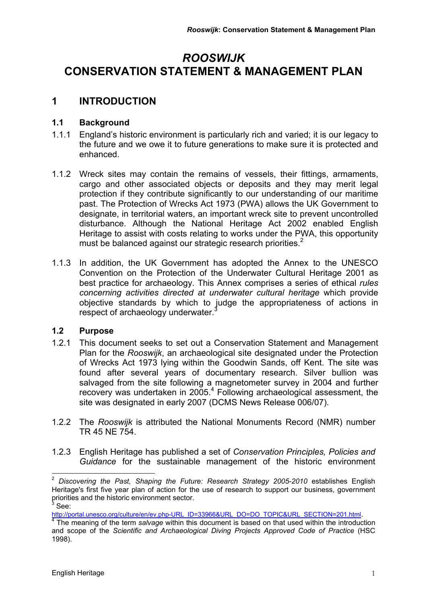# *ROOSWIJK* **CONSERVATION STATEMENT & MANAGEMENT PLAN**

## **1 INTRODUCTION**

#### **1.1 Background**

- 1.1.1 England's historic environment is particularly rich and varied; it is our legacy to the future and we owe it to future generations to make sure it is protected and enhanced.
- 1.1.2 Wreck sites may contain the remains of vessels, their fittings, armaments, cargo and other associated objects or deposits and they may merit legal protection if they contribute significantly to our understanding of our maritime past. The Protection of Wrecks Act 1973 (PWA) allows the UK Government to designate, in territorial waters, an important wreck site to prevent uncontrolled disturbance. Although the National Heritage Act 2002 enabled English Heritage to assist with costs relating to works under the PWA, this opportunity must be balanced against our strategic research priorities. $2^2$
- 1.1.3 In addition, the UK Government has adopted the Annex to the UNESCO Convention on the Protection of the Underwater Cultural Heritage 2001 as best practice for archaeology. This Annex comprises a series of ethical *rules concerning activities directed at underwater cultural heritage* which provide objective standards by which to judge the appropriateness of actions in respect of archaeology underwater.

#### **1.2 Purpose**

- 1.2.1 This document seeks to set out a Conservation Statement and Management Plan for the *Rooswijk*, an archaeological site designated under the Protection of Wrecks Act 1973 lying within the Goodwin Sands, off Kent. The site was found after several years of documentary research. Silver bullion was salvaged from the site following a magnetometer survey in 2004 and further recovery was undertaken in 2005.<sup>4</sup> Following archaeological assessment, the site was designated in early 2007 (DCMS News Release 006/07).
- 1.2.2 The *Rooswijk* is attributed the National Monuments Record (NMR) number TR 45 NE 754.
- 1.2.3 English Heritage has published a set of *Conservation Principles, Policies and Guidance* for the sustainable management of the historic environment

 $\overline{a}$ <sup>2</sup> *Discovering the Past, Shaping the Future: Research Strategy 2005-2010* establishes English Heritage's first five year plan of action for the use of research to support our business, government priorities and the historic environment sector.  $^3$  See:

http://portal.unesco.org/culture/en/ev.php-URL\_ID=33966&URL\_DO=DO\_TOPIC&URL\_SECTION=201.html.

<sup>&</sup>lt;sup>4</sup> The meaning of the term *salvage* within this document is based on that used within the introduction and scope of the *Scientific and Archaeological Diving Projects Approved Code of Practice* (HSC 1998).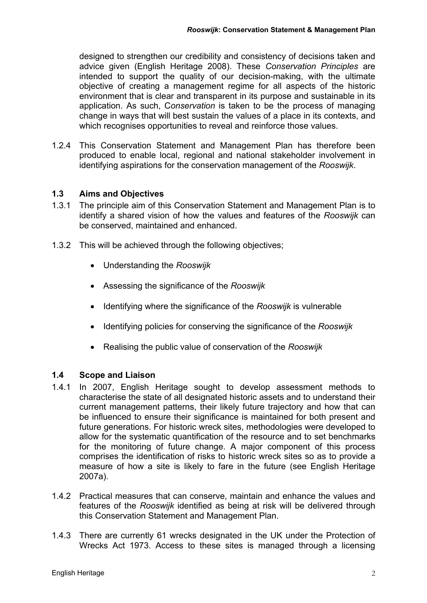designed to strengthen our credibility and consistency of decisions taken and advice given (English Heritage 2008). These *Conservation Principles* are intended to support the quality of our decision-making, with the ultimate objective of creating a management regime for all aspects of the historic environment that is clear and transparent in its purpose and sustainable in its application. As such, C*onservation* is taken to be the process of managing change in ways that will best sustain the values of a place in its contexts, and which recognises opportunities to reveal and reinforce those values.

1.2.4 This Conservation Statement and Management Plan has therefore been produced to enable local, regional and national stakeholder involvement in identifying aspirations for the conservation management of the *Rooswijk*.

#### **1.3 Aims and Objectives**

- 1.3.1 The principle aim of this Conservation Statement and Management Plan is to identify a shared vision of how the values and features of the *Rooswijk* can be conserved, maintained and enhanced.
- 1.3.2 This will be achieved through the following objectives;
	- Understanding the *Rooswijk*
	- Assessing the significance of the *Rooswijk*
	- Identifying where the significance of the *Rooswijk* is vulnerable
	- Identifying policies for conserving the significance of the *Rooswijk*
	- Realising the public value of conservation of the *Rooswijk*

#### **1.4 Scope and Liaison**

- 1.4.1 In 2007, English Heritage sought to develop assessment methods to characterise the state of all designated historic assets and to understand their current management patterns, their likely future trajectory and how that can be influenced to ensure their significance is maintained for both present and future generations. For historic wreck sites, methodologies were developed to allow for the systematic quantification of the resource and to set benchmarks for the monitoring of future change. A major component of this process comprises the identification of risks to historic wreck sites so as to provide a measure of how a site is likely to fare in the future (see English Heritage 2007a).
- 1.4.2 Practical measures that can conserve, maintain and enhance the values and features of the *Rooswijk* identified as being at risk will be delivered through this Conservation Statement and Management Plan.
- 1.4.3 There are currently 61 wrecks designated in the UK under the Protection of Wrecks Act 1973. Access to these sites is managed through a licensing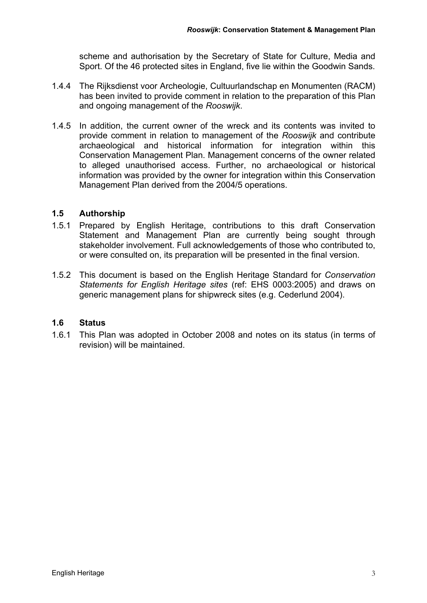scheme and authorisation by the Secretary of State for Culture, Media and Sport. Of the 46 protected sites in England, five lie within the Goodwin Sands.

- 1.4.4 The Rijksdienst voor Archeologie, Cultuurlandschap en Monumenten (RACM) has been invited to provide comment in relation to the preparation of this Plan and ongoing management of the *Rooswijk*.
- 1.4.5 In addition, the current owner of the wreck and its contents was invited to provide comment in relation to management of the *Rooswijk* and contribute archaeological and historical information for integration within this Conservation Management Plan. Management concerns of the owner related to alleged unauthorised access. Further, no archaeological or historical information was provided by the owner for integration within this Conservation Management Plan derived from the 2004/5 operations.

#### **1.5 Authorship**

- 1.5.1 Prepared by English Heritage, contributions to this draft Conservation Statement and Management Plan are currently being sought through stakeholder involvement. Full acknowledgements of those who contributed to, or were consulted on, its preparation will be presented in the final version.
- 1.5.2 This document is based on the English Heritage Standard for *Conservation Statements for English Heritage sites* (ref: EHS 0003:2005) and draws on generic management plans for shipwreck sites (e.g. Cederlund 2004).

#### **1.6 Status**

1.6.1 This Plan was adopted in October 2008 and notes on its status (in terms of revision) will be maintained.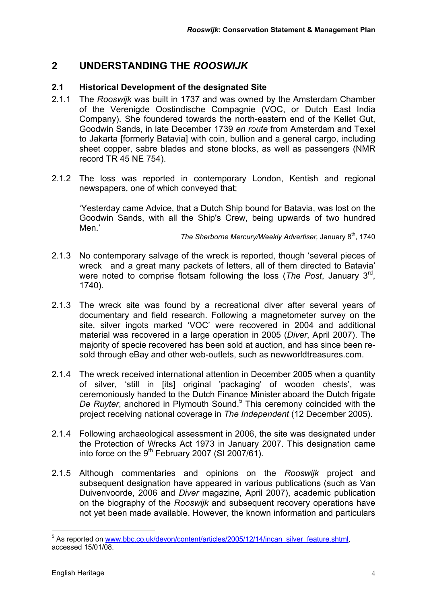## **2 UNDERSTANDING THE** *ROOSWIJK*

#### **2.1 Historical Development of the designated Site**

- 2.1.1 The *Rooswijk* was built in 1737 and was owned by the Amsterdam Chamber of the Verenigde Oostindische Compagnie (VOC, or Dutch East India Company). She foundered towards the north-eastern end of the Kellet Gut, Goodwin Sands, in late December 1739 *en route* from Amsterdam and Texel to Jakarta [formerly Batavia] with coin, bullion and a general cargo, including sheet copper, sabre blades and stone blocks, as well as passengers (NMR record TR 45 NE 754).
- 2.1.2 The loss was reported in contemporary London, Kentish and regional newspapers, one of which conveyed that;

'Yesterday came Advice, that a Dutch Ship bound for Batavia, was lost on the Goodwin Sands, with all the Ship's Crew, being upwards of two hundred Men.'

*The Sherborne Mercury/Weekly Advertiser, January 8<sup>th</sup>, 1740* 

- 2.1.3 No contemporary salvage of the wreck is reported, though 'several pieces of wreck and a great many packets of letters, all of them directed to Batavia' were noted to comprise flotsam following the loss (*The Post*, January 3rd, 1740).
- 2.1.3 The wreck site was found by a recreational diver after several years of documentary and field research. Following a magnetometer survey on the site, silver ingots marked 'VOC' were recovered in 2004 and additional material was recovered in a large operation in 2005 (*Diver*, April 2007). The majority of specie recovered has been sold at auction, and has since been resold through eBay and other web-outlets, such as newworldtreasures.com.
- 2.1.4 The wreck received international attention in December 2005 when a quantity of silver, 'still in [its] original 'packaging' of wooden chests', was ceremoniously handed to the Dutch Finance Minister aboard the Dutch frigate De Ruyter, anchored in Plymouth Sound.<sup>5</sup> This ceremony coincided with the project receiving national coverage in *The Independent* (12 December 2005).
- 2.1.4 Following archaeological assessment in 2006, the site was designated under the Protection of Wrecks Act 1973 in January 2007. This designation came into force on the 9<sup>th</sup> February 2007 (SI 2007/61).
- 2.1.5 Although commentaries and opinions on the *Rooswijk* project and subsequent designation have appeared in various publications (such as Van Duivenvoorde, 2006 and *Diver* magazine, April 2007), academic publication on the biography of the *Rooswijk* and subsequent recovery operations have not yet been made available. However, the known information and particulars

<sup>&</sup>lt;u>s</u><br><sup>5</sup> As reported on www.bbc.co.uk/devon/content/articles/2005/12/14/incan\_silver\_feature.shtml, accessed 15/01/08.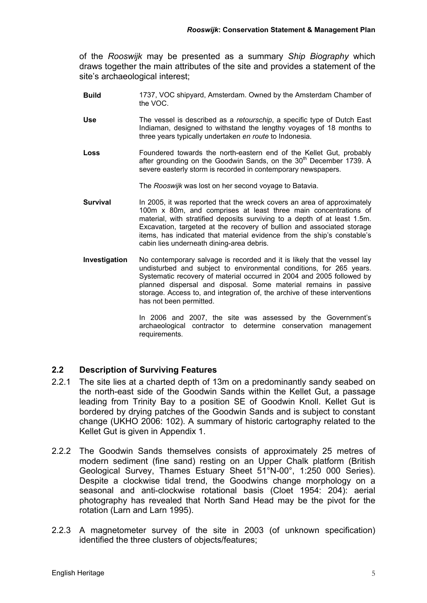of the *Rooswijk* may be presented as a summary *Ship Biography* which draws together the main attributes of the site and provides a statement of the site's archaeological interest;

- **Build** 1737, VOC shipyard, Amsterdam. Owned by the Amsterdam Chamber of the VOC.
- **Use** The vessel is described as a *retourschip*, a specific type of Dutch East Indiaman, designed to withstand the lengthy voyages of 18 months to three years typically undertaken *en route* to Indonesia.
- **Loss** Foundered towards the north-eastern end of the Kellet Gut, probably after grounding on the Goodwin Sands, on the  $30<sup>th</sup>$  December 1739. A severe easterly storm is recorded in contemporary newspapers.

The *Rooswijk* was lost on her second voyage to Batavia.

- **Survival In 2005, it was reported that the wreck covers an area of approximately** 100m x 80m, and comprises at least three main concentrations of material, with stratified deposits surviving to a depth of at least 1.5m. Excavation, targeted at the recovery of bullion and associated storage items, has indicated that material evidence from the ship's constable's cabin lies underneath dining-area debris.
- **Investigation** No contemporary salvage is recorded and it is likely that the vessel lay undisturbed and subject to environmental conditions, for 265 years. Systematic recovery of material occurred in 2004 and 2005 followed by planned dispersal and disposal. Some material remains in passive storage. Access to, and integration of, the archive of these interventions has not been permitted.

In 2006 and 2007, the site was assessed by the Government's archaeological contractor to determine conservation management requirements.

#### **2.2 Description of Surviving Features**

- 2.2.1 The site lies at a charted depth of 13m on a predominantly sandy seabed on the north-east side of the Goodwin Sands within the Kellet Gut, a passage leading from Trinity Bay to a position SE of Goodwin Knoll. Kellet Gut is bordered by drying patches of the Goodwin Sands and is subject to constant change (UKHO 2006: 102). A summary of historic cartography related to the Kellet Gut is given in Appendix 1.
- 2.2.2 The Goodwin Sands themselves consists of approximately 25 metres of modern sediment (fine sand) resting on an Upper Chalk platform (British Geological Survey, Thames Estuary Sheet 51°N-00°, 1:250 000 Series). Despite a clockwise tidal trend, the Goodwins change morphology on a seasonal and anti-clockwise rotational basis (Cloet 1954: 204): aerial photography has revealed that North Sand Head may be the pivot for the rotation (Larn and Larn 1995).
- 2.2.3 A magnetometer survey of the site in 2003 (of unknown specification) identified the three clusters of objects/features;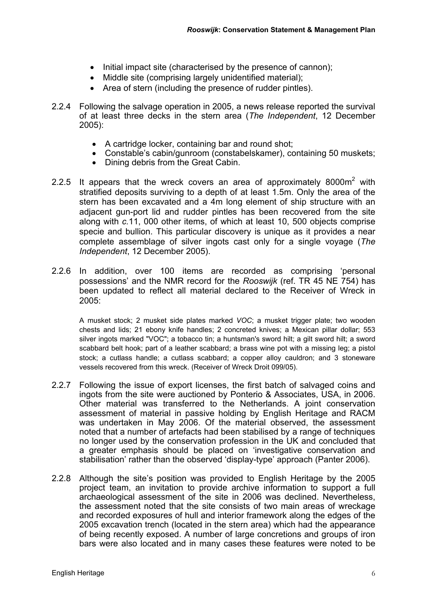- Initial impact site (characterised by the presence of cannon);
- Middle site (comprising largely unidentified material);
- Area of stern (including the presence of rudder pintles).
- 2.2.4 Following the salvage operation in 2005, a news release reported the survival of at least three decks in the stern area (*The Independent*, 12 December 2005):
	- A cartridge locker, containing bar and round shot;
	- Constable's cabin/gunroom (constabelskamer), containing 50 muskets;
	- Dining debris from the Great Cabin.
- 2.2.5 It appears that the wreck covers an area of approximately 8000 $m^2$  with stratified deposits surviving to a depth of at least 1.5m. Only the area of the stern has been excavated and a 4m long element of ship structure with an adjacent gun-port lid and rudder pintles has been recovered from the site along with *c.*11, 000 other items, of which at least 10, 500 objects comprise specie and bullion. This particular discovery is unique as it provides a near complete assemblage of silver ingots cast only for a single voyage (*The Independent*, 12 December 2005).
- 2.2.6 In addition, over 100 items are recorded as comprising 'personal possessions' and the NMR record for the *Rooswijk* (ref. TR 45 NE 754) has been updated to reflect all material declared to the Receiver of Wreck in 2005:

A musket stock; 2 musket side plates marked *VOC*; a musket trigger plate; two wooden chests and lids; 21 ebony knife handles; 2 concreted knives; a Mexican pillar dollar; 553 silver ingots marked "VOC"; a tobacco tin; a huntsman's sword hilt; a gilt sword hilt; a sword scabbard belt hook; part of a leather scabbard; a brass wine pot with a missing leg; a pistol stock; a cutlass handle; a cutlass scabbard; a copper alloy cauldron; and 3 stoneware vessels recovered from this wreck. (Receiver of Wreck Droit 099/05).

- 2.2.7 Following the issue of export licenses, the first batch of salvaged coins and ingots from the site were auctioned by Ponterio & Associates, USA, in 2006. Other material was transferred to the Netherlands. A joint conservation assessment of material in passive holding by English Heritage and RACM was undertaken in May 2006. Of the material observed, the assessment noted that a number of artefacts had been stabilised by a range of techniques no longer used by the conservation profession in the UK and concluded that a greater emphasis should be placed on 'investigative conservation and stabilisation' rather than the observed 'display-type' approach (Panter 2006).
- 2.2.8 Although the site's position was provided to English Heritage by the 2005 project team, an invitation to provide archive information to support a full archaeological assessment of the site in 2006 was declined. Nevertheless, the assessment noted that the site consists of two main areas of wreckage and recorded exposures of hull and interior framework along the edges of the 2005 excavation trench (located in the stern area) which had the appearance of being recently exposed. A number of large concretions and groups of iron bars were also located and in many cases these features were noted to be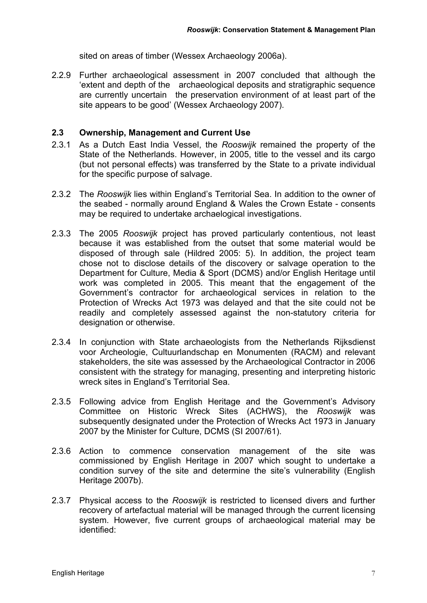sited on areas of timber (Wessex Archaeology 2006a).

2.2.9 Further archaeological assessment in 2007 concluded that although the 'extent and depth of the archaeological deposits and stratigraphic sequence are currently uncertain the preservation environment of at least part of the site appears to be good' (Wessex Archaeology 2007).

#### **2.3 Ownership, Management and Current Use**

- 2.3.1 As a Dutch East India Vessel, the *Rooswijk* remained the property of the State of the Netherlands. However, in 2005, title to the vessel and its cargo (but not personal effects) was transferred by the State to a private individual for the specific purpose of salvage.
- 2.3.2 The *Rooswijk* lies within England's Territorial Sea. In addition to the owner of the seabed - normally around England & Wales the Crown Estate - consents may be required to undertake archaelogical investigations.
- 2.3.3 The 2005 *Rooswijk* project has proved particularly contentious, not least because it was established from the outset that some material would be disposed of through sale (Hildred 2005: 5). In addition, the project team chose not to disclose details of the discovery or salvage operation to the Department for Culture, Media & Sport (DCMS) and/or English Heritage until work was completed in 2005. This meant that the engagement of the Government's contractor for archaeological services in relation to the Protection of Wrecks Act 1973 was delayed and that the site could not be readily and completely assessed against the non-statutory criteria for designation or otherwise.
- 2.3.4 In conjunction with State archaeologists from the Netherlands Rijksdienst voor Archeologie, Cultuurlandschap en Monumenten (RACM) and relevant stakeholders, the site was assessed by the Archaeological Contractor in 2006 consistent with the strategy for managing, presenting and interpreting historic wreck sites in England's Territorial Sea.
- 2.3.5 Following advice from English Heritage and the Government's Advisory Committee on Historic Wreck Sites (ACHWS), the *Rooswijk* was subsequently designated under the Protection of Wrecks Act 1973 in January 2007 by the Minister for Culture, DCMS (SI 2007/61).
- 2.3.6 Action to commence conservation management of the site was commissioned by English Heritage in 2007 which sought to undertake a condition survey of the site and determine the site's vulnerability (English Heritage 2007b).
- 2.3.7 Physical access to the *Rooswijk* is restricted to licensed divers and further recovery of artefactual material will be managed through the current licensing system. However, five current groups of archaeological material may be identified: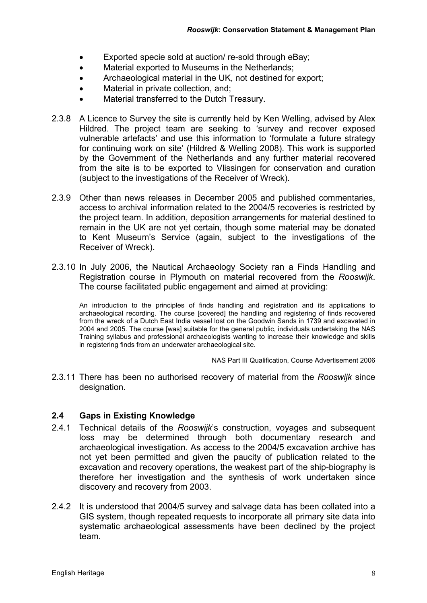- Exported specie sold at auction/ re-sold through eBay;
- Material exported to Museums in the Netherlands;
- Archaeological material in the UK, not destined for export;
- Material in private collection, and;
- Material transferred to the Dutch Treasury.
- 2.3.8 A Licence to Survey the site is currently held by Ken Welling, advised by Alex Hildred. The project team are seeking to 'survey and recover exposed vulnerable artefacts' and use this information to 'formulate a future strategy for continuing work on site' (Hildred & Welling 2008). This work is supported by the Government of the Netherlands and any further material recovered from the site is to be exported to Vlissingen for conservation and curation (subject to the investigations of the Receiver of Wreck).
- 2.3.9 Other than news releases in December 2005 and published commentaries, access to archival information related to the 2004/5 recoveries is restricted by the project team. In addition, deposition arrangements for material destined to remain in the UK are not yet certain, though some material may be donated to Kent Museum's Service (again, subject to the investigations of the Receiver of Wreck).
- 2.3.10 In July 2006, the Nautical Archaeology Society ran a Finds Handling and Registration course in Plymouth on material recovered from the *Rooswijk*. The course facilitated public engagement and aimed at providing:

An introduction to the principles of finds handling and registration and its applications to archaeological recording. The course [covered] the handling and registering of finds recovered from the wreck of a Dutch East India vessel lost on the Goodwin Sands in 1739 and excavated in 2004 and 2005. The course [was] suitable for the general public, individuals undertaking the NAS Training syllabus and professional archaeologists wanting to increase their knowledge and skills in registering finds from an underwater archaeological site.

NAS Part III Qualification, Course Advertisement 2006

2.3.11 There has been no authorised recovery of material from the *Rooswijk* since designation.

#### **2.4 Gaps in Existing Knowledge**

- 2.4.1 Technical details of the *Rooswijk*'s construction, voyages and subsequent loss may be determined through both documentary research and archaeological investigation. As access to the 2004/5 excavation archive has not yet been permitted and given the paucity of publication related to the excavation and recovery operations, the weakest part of the ship-biography is therefore her investigation and the synthesis of work undertaken since discovery and recovery from 2003.
- 2.4.2 It is understood that 2004/5 survey and salvage data has been collated into a GIS system, though repeated requests to incorporate all primary site data into systematic archaeological assessments have been declined by the project team.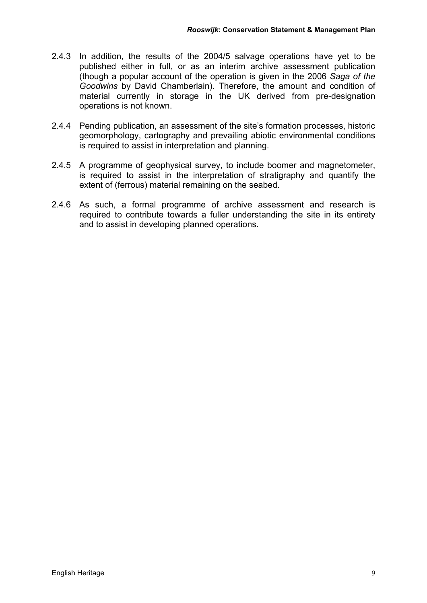- 2.4.3 In addition, the results of the 2004/5 salvage operations have yet to be published either in full, or as an interim archive assessment publication (though a popular account of the operation is given in the 2006 *Saga of the Goodwins* by David Chamberlain). Therefore, the amount and condition of material currently in storage in the UK derived from pre-designation operations is not known.
- 2.4.4 Pending publication, an assessment of the site's formation processes, historic geomorphology, cartography and prevailing abiotic environmental conditions is required to assist in interpretation and planning.
- 2.4.5 A programme of geophysical survey, to include boomer and magnetometer, is required to assist in the interpretation of stratigraphy and quantify the extent of (ferrous) material remaining on the seabed.
- 2.4.6 As such, a formal programme of archive assessment and research is required to contribute towards a fuller understanding the site in its entirety and to assist in developing planned operations.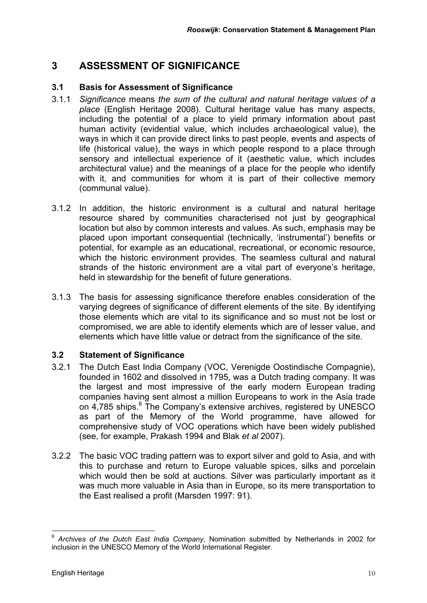## **3 ASSESSMENT OF SIGNIFICANCE**

#### **3.1 Basis for Assessment of Significance**

- 3.1.1 *Significance* means *the sum of the cultural and natural heritage values of a place* (English Heritage 2008). Cultural heritage value has many aspects, including the potential of a place to yield primary information about past human activity (evidential value, which includes archaeological value), the ways in which it can provide direct links to past people, events and aspects of life (historical value), the ways in which people respond to a place through sensory and intellectual experience of it (aesthetic value, which includes architectural value) and the meanings of a place for the people who identify with it, and communities for whom it is part of their collective memory (communal value).
- 3.1.2 In addition, the historic environment is a cultural and natural heritage resource shared by communities characterised not just by geographical location but also by common interests and values. As such, emphasis may be placed upon important consequential (technically, 'instrumental') benefits or potential, for example as an educational, recreational, or economic resource, which the historic environment provides. The seamless cultural and natural strands of the historic environment are a vital part of everyone's heritage, held in stewardship for the benefit of future generations.
- 3.1.3 The basis for assessing significance therefore enables consideration of the varying degrees of significance of different elements of the site. By identifying those elements which are vital to its significance and so must not be lost or compromised, we are able to identify elements which are of lesser value, and elements which have little value or detract from the significance of the site.

### **3.2 Statement of Significance**

- 3.2.1 The Dutch East India Company (VOC, Verenigde Oostindische Compagnie), founded in 1602 and dissolved in 1795, was a Dutch trading company. It was the largest and most impressive of the early modern European trading companies having sent almost a million Europeans to work in the Asia trade on 4,785 ships.<sup>6</sup> The Company's extensive archives, registered by UNESCO as part of the Memory of the World programme, have allowed for comprehensive study of VOC operations which have been widely published (see, for example, Prakash 1994 and Blak *et al* 2007).
- 3.2.2 The basic VOC trading pattern was to export silver and gold to Asia, and with this to purchase and return to Europe valuable spices, silks and porcelain which would then be sold at auctions. Silver was particularly important as it was much more valuable in Asia than in Europe, so its mere transportation to the East realised a profit (Marsden 1997: 91).

 $\overline{a}$ <sup>6</sup> *Archives of the Dutch East India Company*, Nomination submitted by Netherlands in 2002 for inclusion in the UNESCO Memory of the World International Register.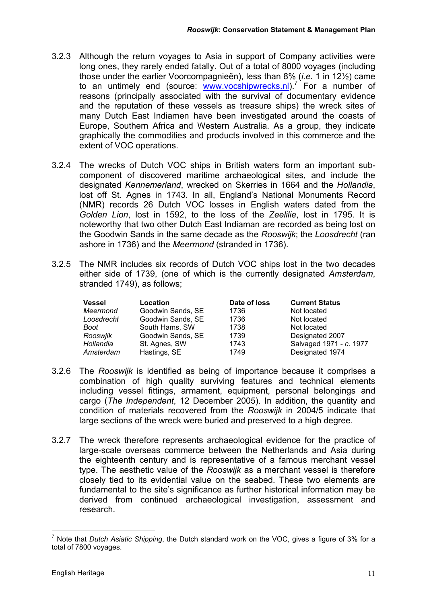- 3.2.3 Although the return voyages to Asia in support of Company activities were long ones, they rarely ended fatally. Out of a total of 8000 voyages (including those under the earlier Voorcompagnieën), less than 8% (*i.e.* 1 in 12½) came to an untimely end (source: **www.vocshipwrecks.nl).**<sup>7</sup> For a number of reasons (principally associated with the survival of documentary evidence and the reputation of these vessels as treasure ships) the wreck sites of many Dutch East Indiamen have been investigated around the coasts of Europe, Southern Africa and Western Australia. As a group, they indicate graphically the commodities and products involved in this commerce and the extent of VOC operations.
- 3.2.4 The wrecks of Dutch VOC ships in British waters form an important subcomponent of discovered maritime archaeological sites, and include the designated *Kennemerland*, wrecked on Skerries in 1664 and the *Hollandia*, lost off St. Agnes in 1743. In all, England's National Monuments Record (NMR) records 26 Dutch VOC losses in English waters dated from the *Golden Lion*, lost in 1592, to the loss of the *Zeelilie*, lost in 1795. It is noteworthy that two other Dutch East Indiaman are recorded as being lost on the Goodwin Sands in the same decade as the *Rooswijk*; the *Loosdrecht* (ran ashore in 1736) and the *Meermond* (stranded in 1736).
- 3.2.5 The NMR includes six records of Dutch VOC ships lost in the two decades either side of 1739, (one of which is the currently designated *Amsterdam*, stranded 1749), as follows;

| <b>Vessel</b> | Location          | Date of loss | <b>Current Status</b>   |
|---------------|-------------------|--------------|-------------------------|
| Meermond      | Goodwin Sands, SE | 1736         | Not located             |
| Loosdrecht    | Goodwin Sands, SE | 1736         | Not located             |
| <b>Boot</b>   | South Hams, SW    | 1738         | Not located             |
| Rooswjik      | Goodwin Sands, SE | 1739         | Designated 2007         |
| Hollandia     | St. Agnes, SW     | 1743         | Salvaged 1971 - c. 1977 |
| Amsterdam     | Hastings, SE      | 1749         | Designated 1974         |

- 3.2.6 The *Rooswijk* is identified as being of importance because it comprises a combination of high quality surviving features and technical elements including vessel fittings, armament, equipment, personal belongings and cargo (*The Independent*, 12 December 2005). In addition, the quantity and condition of materials recovered from the *Rooswijk* in 2004/5 indicate that large sections of the wreck were buried and preserved to a high degree.
- 3.2.7 The wreck therefore represents archaeological evidence for the practice of large-scale overseas commerce between the Netherlands and Asia during the eighteenth century and is representative of a famous merchant vessel type. The aesthetic value of the *Rooswijk* as a merchant vessel is therefore closely tied to its evidential value on the seabed. These two elements are fundamental to the site's significance as further historical information may be derived from continued archaeological investigation, assessment and research.

 $\overline{a}$ 7 Note that *Dutch Asiatic Shipping*, the Dutch standard work on the VOC, gives a figure of 3% for a total of 7800 voyages.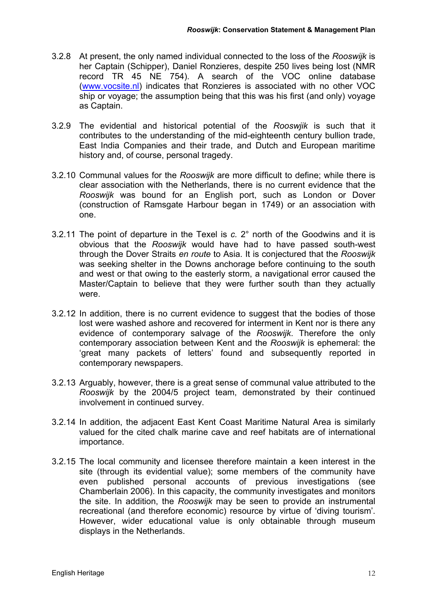- 3.2.8 At present, the only named individual connected to the loss of the *Rooswijk* is her Captain (Schipper), Daniel Ronzieres, despite 250 lives being lost (NMR record TR 45 NE 754). A search of the VOC online database (www.vocsite.nl) indicates that Ronzieres is associated with no other VOC ship or voyage; the assumption being that this was his first (and only) voyage as Captain.
- 3.2.9 The evidential and historical potential of the *Rooswjik* is such that it contributes to the understanding of the mid-eighteenth century bullion trade, East India Companies and their trade, and Dutch and European maritime history and, of course, personal tragedy.
- 3.2.10 Communal values for the *Rooswijk* are more difficult to define; while there is clear association with the Netherlands, there is no current evidence that the *Rooswijk* was bound for an English port, such as London or Dover (construction of Ramsgate Harbour began in 1749) or an association with one.
- 3.2.11 The point of departure in the Texel is *c.* 2° north of the Goodwins and it is obvious that the *Rooswijk* would have had to have passed south-west through the Dover Straits *en route* to Asia. It is conjectured that the *Rooswijk* was seeking shelter in the Downs anchorage before continuing to the south and west or that owing to the easterly storm, a navigational error caused the Master/Captain to believe that they were further south than they actually were.
- 3.2.12 In addition, there is no current evidence to suggest that the bodies of those lost were washed ashore and recovered for interment in Kent nor is there any evidence of contemporary salvage of the *Rooswijk*. Therefore the only contemporary association between Kent and the *Rooswijk* is ephemeral: the 'great many packets of letters' found and subsequently reported in contemporary newspapers.
- 3.2.13 Arguably, however, there is a great sense of communal value attributed to the *Rooswijk* by the 2004/5 project team, demonstrated by their continued involvement in continued survey.
- 3.2.14 In addition, the adjacent East Kent Coast Maritime Natural Area is similarly valued for the cited chalk marine cave and reef habitats are of international importance.
- 3.2.15 The local community and licensee therefore maintain a keen interest in the site (through its evidential value); some members of the community have even published personal accounts of previous investigations (see Chamberlain 2006). In this capacity, the community investigates and monitors the site. In addition, the *Rooswijk* may be seen to provide an instrumental recreational (and therefore economic) resource by virtue of 'diving tourism'. However, wider educational value is only obtainable through museum displays in the Netherlands.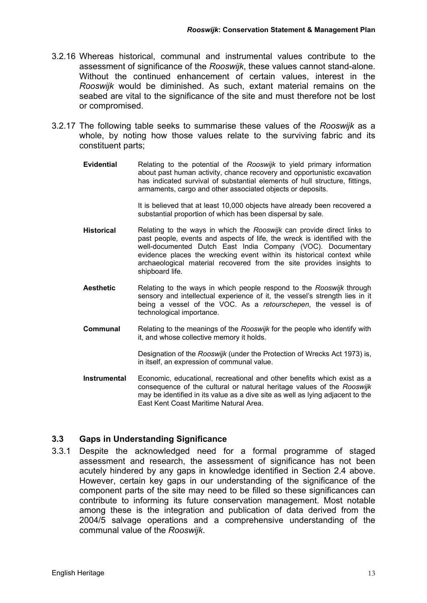- 3.2.16 Whereas historical, communal and instrumental values contribute to the assessment of significance of the *Rooswijk*, these values cannot stand-alone. Without the continued enhancement of certain values, interest in the *Rooswijk* would be diminished. As such, extant material remains on the seabed are vital to the significance of the site and must therefore not be lost or compromised.
- 3.2.17 The following table seeks to summarise these values of the *Rooswijk* as a whole, by noting how those values relate to the surviving fabric and its constituent parts;
	- **Evidential** Relating to the potential of the *Rooswijk* to yield primary information about past human activity, chance recovery and opportunistic excavation has indicated survival of substantial elements of hull structure, fittings, armaments, cargo and other associated objects or deposits.

It is believed that at least 10,000 objects have already been recovered a substantial proportion of which has been dispersal by sale.

- **Historical** Relating to the ways in which the *Rooswijk* can provide direct links to past people, events and aspects of life, the wreck is identified with the well-documented Dutch East India Company (VOC). Documentary evidence places the wrecking event within its historical context while archaeological material recovered from the site provides insights to shipboard life.
- **Aesthetic** Relating to the ways in which people respond to the *Rooswijk* through sensory and intellectual experience of it, the vessel's strength lies in it being a vessel of the VOC. As a *retourschepen*, the vessel is of technological importance.
- **Communal** Relating to the meanings of the *Rooswijk* for the people who identify with it, and whose collective memory it holds.

Designation of the *Rooswijk* (under the Protection of Wrecks Act 1973) is, in itself, an expression of communal value.

**Instrumental** Economic, educational, recreational and other benefits which exist as a consequence of the cultural or natural heritage values of the *Rooswijk* may be identified in its value as a dive site as well as lying adjacent to the East Kent Coast Maritime Natural Area.

### **3.3 Gaps in Understanding Significance**

3.3.1 Despite the acknowledged need for a formal programme of staged assessment and research, the assessment of significance has not been acutely hindered by any gaps in knowledge identified in Section 2.4 above. However, certain key gaps in our understanding of the significance of the component parts of the site may need to be filled so these significances can contribute to informing its future conservation management. Most notable among these is the integration and publication of data derived from the 2004/5 salvage operations and a comprehensive understanding of the communal value of the *Rooswijk*.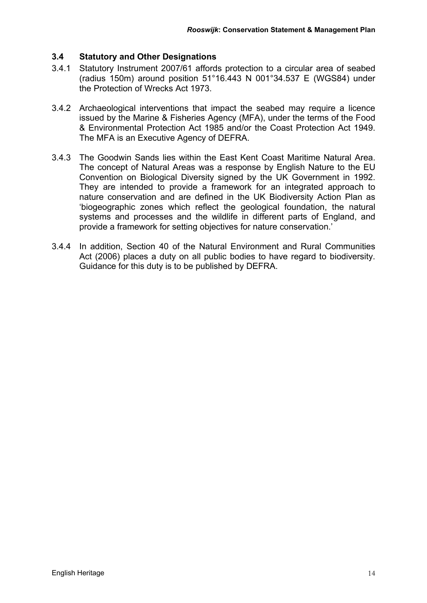#### **3.4 Statutory and Other Designations**

- 3.4.1 Statutory Instrument 2007/61 affords protection to a circular area of seabed (radius 150m) around position 51°16.443 N 001°34.537 E (WGS84) under the Protection of Wrecks Act 1973.
- 3.4.2 Archaeological interventions that impact the seabed may require a licence issued by the Marine & Fisheries Agency (MFA), under the terms of the Food & Environmental Protection Act 1985 and/or the Coast Protection Act 1949. The MFA is an Executive Agency of DEFRA.
- 3.4.3 The Goodwin Sands lies within the East Kent Coast Maritime Natural Area. The concept of Natural Areas was a response by English Nature to the EU Convention on Biological Diversity signed by the UK Government in 1992. They are intended to provide a framework for an integrated approach to nature conservation and are defined in the UK Biodiversity Action Plan as 'biogeographic zones which reflect the geological foundation, the natural systems and processes and the wildlife in different parts of England, and provide a framework for setting objectives for nature conservation.'
- 3.4.4 In addition, Section 40 of the Natural Environment and Rural Communities Act (2006) places a duty on all public bodies to have regard to biodiversity. Guidance for this duty is to be published by DEFRA.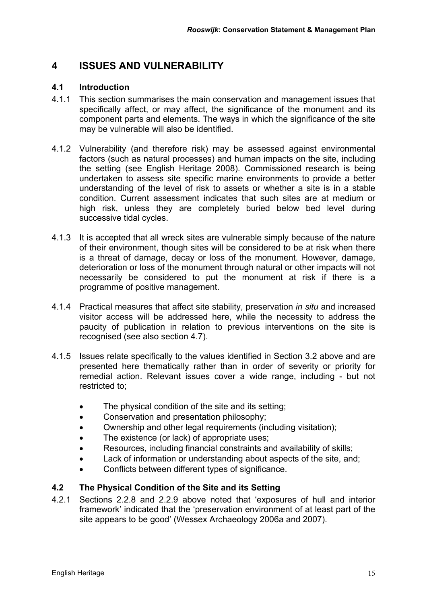### **4 ISSUES AND VULNERABILITY**

#### **4.1 Introduction**

- 4.1.1 This section summarises the main conservation and management issues that specifically affect, or may affect, the significance of the monument and its component parts and elements. The ways in which the significance of the site may be vulnerable will also be identified.
- 4.1.2 Vulnerability (and therefore risk) may be assessed against environmental factors (such as natural processes) and human impacts on the site, including the setting (see English Heritage 2008). Commissioned research is being undertaken to assess site specific marine environments to provide a better understanding of the level of risk to assets or whether a site is in a stable condition. Current assessment indicates that such sites are at medium or high risk, unless they are completely buried below bed level during successive tidal cycles.
- 4.1.3 It is accepted that all wreck sites are vulnerable simply because of the nature of their environment, though sites will be considered to be at risk when there is a threat of damage, decay or loss of the monument. However, damage, deterioration or loss of the monument through natural or other impacts will not necessarily be considered to put the monument at risk if there is a programme of positive management.
- 4.1.4 Practical measures that affect site stability, preservation *in situ* and increased visitor access will be addressed here, while the necessity to address the paucity of publication in relation to previous interventions on the site is recognised (see also section 4.7).
- 4.1.5 Issues relate specifically to the values identified in Section 3.2 above and are presented here thematically rather than in order of severity or priority for remedial action. Relevant issues cover a wide range, including - but not restricted to;
	- The physical condition of the site and its setting;
	- Conservation and presentation philosophy;
	- Ownership and other legal requirements (including visitation);
	- The existence (or lack) of appropriate uses;
	- Resources, including financial constraints and availability of skills;
	- Lack of information or understanding about aspects of the site, and;
	- Conflicts between different types of significance.

### **4.2 The Physical Condition of the Site and its Setting**

4.2.1 Sections 2.2.8 and 2.2.9 above noted that 'exposures of hull and interior framework' indicated that the 'preservation environment of at least part of the site appears to be good' (Wessex Archaeology 2006a and 2007).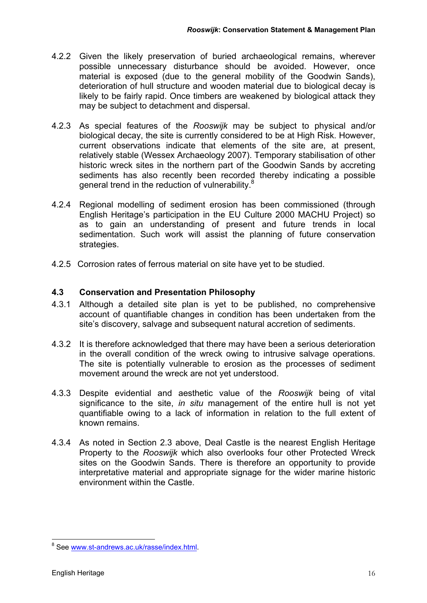- 4.2.2 Given the likely preservation of buried archaeological remains, wherever possible unnecessary disturbance should be avoided. However, once material is exposed (due to the general mobility of the Goodwin Sands), deterioration of hull structure and wooden material due to biological decay is likely to be fairly rapid. Once timbers are weakened by biological attack they may be subject to detachment and dispersal.
- 4.2.3 As special features of the *Rooswijk* may be subject to physical and/or biological decay, the site is currently considered to be at High Risk. However, current observations indicate that elements of the site are, at present, relatively stable (Wessex Archaeology 2007). Temporary stabilisation of other historic wreck sites in the northern part of the Goodwin Sands by accreting sediments has also recently been recorded thereby indicating a possible general trend in the reduction of vulnerability.<sup>8</sup>
- 4.2.4 Regional modelling of sediment erosion has been commissioned (through English Heritage's participation in the EU Culture 2000 MACHU Project) so as to gain an understanding of present and future trends in local sedimentation. Such work will assist the planning of future conservation strategies.
- 4.2.5 Corrosion rates of ferrous material on site have yet to be studied.

#### **4.3 Conservation and Presentation Philosophy**

- 4.3.1 Although a detailed site plan is yet to be published, no comprehensive account of quantifiable changes in condition has been undertaken from the site's discovery, salvage and subsequent natural accretion of sediments.
- 4.3.2 It is therefore acknowledged that there may have been a serious deterioration in the overall condition of the wreck owing to intrusive salvage operations. The site is potentially vulnerable to erosion as the processes of sediment movement around the wreck are not yet understood.
- 4.3.3 Despite evidential and aesthetic value of the *Rooswijk* being of vital significance to the site, *in situ* management of the entire hull is not yet quantifiable owing to a lack of information in relation to the full extent of known remains.
- 4.3.4 As noted in Section 2.3 above, Deal Castle is the nearest English Heritage Property to the *Rooswijk* which also overlooks four other Protected Wreck sites on the Goodwin Sands. There is therefore an opportunity to provide interpretative material and appropriate signage for the wider marine historic environment within the Castle.

<sup>&</sup>lt;sup>8</sup> See www.st-andrews.ac.uk/rasse/index.html.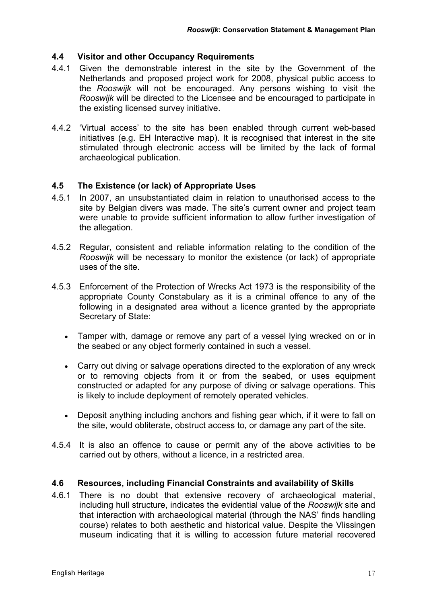#### **4.4 Visitor and other Occupancy Requirements**

- 4.4.1 Given the demonstrable interest in the site by the Government of the Netherlands and proposed project work for 2008, physical public access to the *Rooswijk* will not be encouraged. Any persons wishing to visit the *Rooswijk* will be directed to the Licensee and be encouraged to participate in the existing licensed survey initiative.
- 4.4.2 'Virtual access' to the site has been enabled through current web-based initiatives (e.g. EH Interactive map). It is recognised that interest in the site stimulated through electronic access will be limited by the lack of formal archaeological publication.

#### **4.5 The Existence (or lack) of Appropriate Uses**

- 4.5.1 In 2007, an unsubstantiated claim in relation to unauthorised access to the site by Belgian divers was made. The site's current owner and project team were unable to provide sufficient information to allow further investigation of the allegation.
- 4.5.2 Regular, consistent and reliable information relating to the condition of the *Rooswijk* will be necessary to monitor the existence (or lack) of appropriate uses of the site.
- 4.5.3 Enforcement of the Protection of Wrecks Act 1973 is the responsibility of the appropriate County Constabulary as it is a criminal offence to any of the following in a designated area without a licence granted by the appropriate Secretary of State:
	- Tamper with, damage or remove any part of a vessel lying wrecked on or in the seabed or any object formerly contained in such a vessel.
	- Carry out diving or salvage operations directed to the exploration of any wreck or to removing objects from it or from the seabed, or uses equipment constructed or adapted for any purpose of diving or salvage operations. This is likely to include deployment of remotely operated vehicles.
	- Deposit anything including anchors and fishing gear which, if it were to fall on the site, would obliterate, obstruct access to, or damage any part of the site.
- 4.5.4 It is also an offence to cause or permit any of the above activities to be carried out by others, without a licence, in a restricted area.

#### **4.6 Resources, including Financial Constraints and availability of Skills**

4.6.1 There is no doubt that extensive recovery of archaeological material, including hull structure, indicates the evidential value of the *Rooswijk* site and that interaction with archaeological material (through the NAS' finds handling course) relates to both aesthetic and historical value. Despite the Vlissingen museum indicating that it is willing to accession future material recovered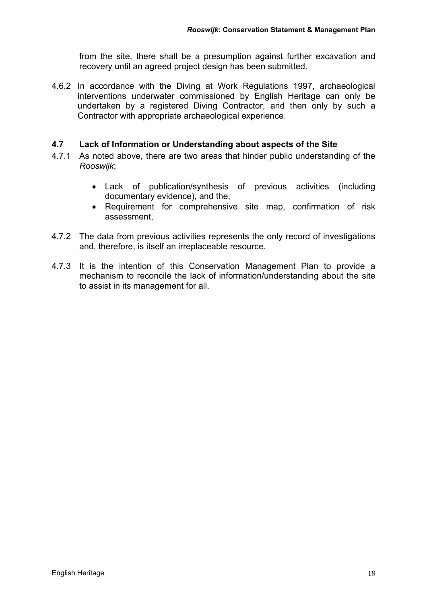from the site, there shall be a presumption against further excavation and recovery until an agreed project design has been submitted.

4.6.2 In accordance with the Diving at Work Regulations 1997, archaeological interventions underwater commissioned by English Heritage can only be undertaken by a registered Diving Contractor, and then only by such a Contractor with appropriate archaeological experience.

#### **4.7 Lack of Information or Understanding about aspects of the Site**

- 4.7.1 As noted above, there are two areas that hinder public understanding of the *Rooswijk*;
	- Lack of publication/synthesis of previous activities (including documentary evidence), and the;
	- Requirement for comprehensive site map, confirmation of risk assessment,
- 4.7.2 The data from previous activities represents the only record of investigations and, therefore, is itself an irreplaceable resource.
- 4.7.3 It is the intention of this Conservation Management Plan to provide a mechanism to reconcile the lack of information/understanding about the site to assist in its management for all.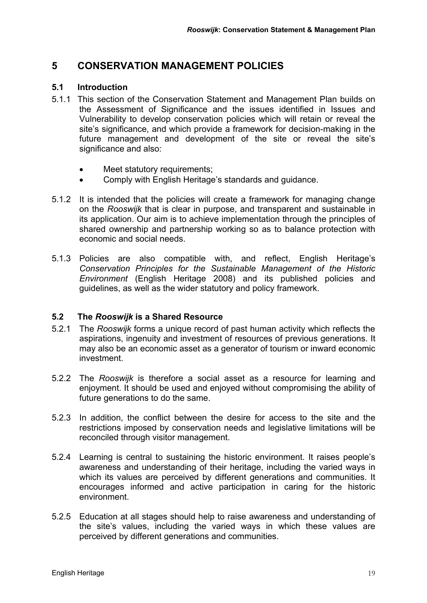### **5 CONSERVATION MANAGEMENT POLICIES**

#### **5.1 Introduction**

- 5.1.1 This section of the Conservation Statement and Management Plan builds on the Assessment of Significance and the issues identified in Issues and Vulnerability to develop conservation policies which will retain or reveal the site's significance, and which provide a framework for decision-making in the future management and development of the site or reveal the site's significance and also:
	- Meet statutory requirements;
	- Comply with English Heritage's standards and guidance.
- 5.1.2 It is intended that the policies will create a framework for managing change on the *Rooswijk* that is clear in purpose, and transparent and sustainable in its application. Our aim is to achieve implementation through the principles of shared ownership and partnership working so as to balance protection with economic and social needs.
- 5.1.3 Policies are also compatible with, and reflect, English Heritage's *Conservation Principles for the Sustainable Management of the Historic Environment* (English Heritage 2008) and its published policies and guidelines, as well as the wider statutory and policy framework.

### **5.2 The** *Rooswijk* **is a Shared Resource**

- 5.2.1 The *Rooswijk* forms a unique record of past human activity which reflects the aspirations, ingenuity and investment of resources of previous generations. It may also be an economic asset as a generator of tourism or inward economic investment.
- 5.2.2 The *Rooswijk* is therefore a social asset as a resource for learning and enjoyment. It should be used and enjoyed without compromising the ability of future generations to do the same.
- 5.2.3 In addition, the conflict between the desire for access to the site and the restrictions imposed by conservation needs and legislative limitations will be reconciled through visitor management.
- 5.2.4 Learning is central to sustaining the historic environment. It raises people's awareness and understanding of their heritage, including the varied ways in which its values are perceived by different generations and communities. It encourages informed and active participation in caring for the historic environment.
- 5.2.5 Education at all stages should help to raise awareness and understanding of the site's values, including the varied ways in which these values are perceived by different generations and communities.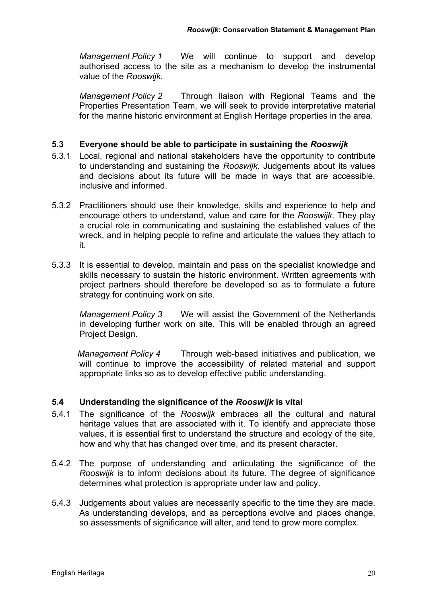*Management Policy 1* We will continue to support and develop authorised access to the site as a mechanism to develop the instrumental value of the *Rooswijk*.

*Management Policy 2* Through liaison with Regional Teams and the Properties Presentation Team, we will seek to provide interpretative material for the marine historic environment at English Heritage properties in the area.

#### **5.3 Everyone should be able to participate in sustaining the** *Rooswijk*

- 5.3.1 Local, regional and national stakeholders have the opportunity to contribute to understanding and sustaining the *Rooswijk*. Judgements about its values and decisions about its future will be made in ways that are accessible, inclusive and informed.
- 5.3.2 Practitioners should use their knowledge, skills and experience to help and encourage others to understand, value and care for the *Rooswijk*. They play a crucial role in communicating and sustaining the established values of the wreck, and in helping people to refine and articulate the values they attach to it.
- 5.3.3 It is essential to develop, maintain and pass on the specialist knowledge and skills necessary to sustain the historic environment. Written agreements with project partners should therefore be developed so as to formulate a future strategy for continuing work on site.

*Management Policy 3* We will assist the Government of the Netherlands in developing further work on site. This will be enabled through an agreed Project Design.

*Management Policy 4* Through web-based initiatives and publication, we will continue to improve the accessibility of related material and support appropriate links so as to develop effective public understanding.

#### **5.4 Understanding the significance of the** *Rooswijk* **is vital**

- 5.4.1 The significance of the *Rooswijk* embraces all the cultural and natural heritage values that are associated with it. To identify and appreciate those values, it is essential first to understand the structure and ecology of the site, how and why that has changed over time, and its present character.
- 5.4.2 The purpose of understanding and articulating the significance of the *Rooswijk* is to inform decisions about its future. The degree of significance determines what protection is appropriate under law and policy.
- 5.4.3 Judgements about values are necessarily specific to the time they are made. As understanding develops, and as perceptions evolve and places change, so assessments of significance will alter, and tend to grow more complex.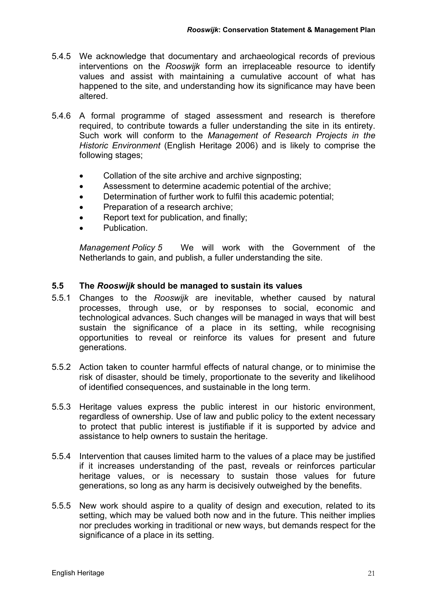- 5.4.5 We acknowledge that documentary and archaeological records of previous interventions on the *Rooswijk* form an irreplaceable resource to identify values and assist with maintaining a cumulative account of what has happened to the site, and understanding how its significance may have been altered.
- 5.4.6 A formal programme of staged assessment and research is therefore required, to contribute towards a fuller understanding the site in its entirety. Such work will conform to the *Management of Research Projects in the Historic Environment* (English Heritage 2006) and is likely to comprise the following stages;
	- Collation of the site archive and archive signposting;
	- Assessment to determine academic potential of the archive;
	- Determination of further work to fulfil this academic potential;
	- Preparation of a research archive;
	- Report text for publication, and finally;
	- Publication.

*Management Policy 5* We will work with the Government of the Netherlands to gain, and publish, a fuller understanding the site.

#### **5.5 The** *Rooswijk* **should be managed to sustain its values**

- 5.5.1 Changes to the *Rooswijk* are inevitable, whether caused by natural processes, through use, or by responses to social, economic and technological advances. Such changes will be managed in ways that will best sustain the significance of a place in its setting, while recognising opportunities to reveal or reinforce its values for present and future generations.
- 5.5.2 Action taken to counter harmful effects of natural change, or to minimise the risk of disaster, should be timely, proportionate to the severity and likelihood of identified consequences, and sustainable in the long term.
- 5.5.3 Heritage values express the public interest in our historic environment, regardless of ownership. Use of law and public policy to the extent necessary to protect that public interest is justifiable if it is supported by advice and assistance to help owners to sustain the heritage.
- 5.5.4 Intervention that causes limited harm to the values of a place may be justified if it increases understanding of the past, reveals or reinforces particular heritage values, or is necessary to sustain those values for future generations, so long as any harm is decisively outweighed by the benefits.
- 5.5.5 New work should aspire to a quality of design and execution, related to its setting, which may be valued both now and in the future. This neither implies nor precludes working in traditional or new ways, but demands respect for the significance of a place in its setting.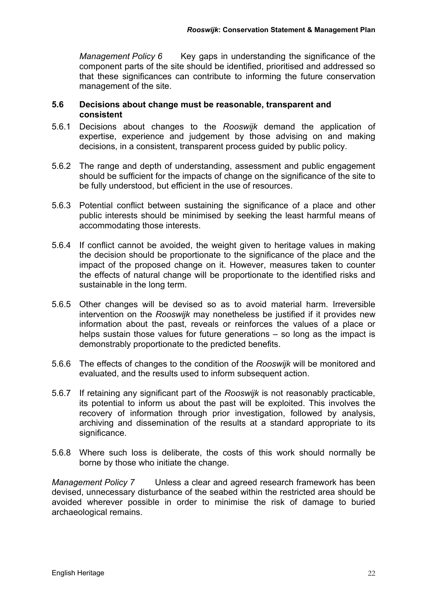*Management Policy 6* Key gaps in understanding the significance of the component parts of the site should be identified, prioritised and addressed so that these significances can contribute to informing the future conservation management of the site.

#### **5.6 Decisions about change must be reasonable, transparent and consistent**

- 5.6.1 Decisions about changes to the *Rooswijk* demand the application of expertise, experience and judgement by those advising on and making decisions, in a consistent, transparent process guided by public policy.
- 5.6.2 The range and depth of understanding, assessment and public engagement should be sufficient for the impacts of change on the significance of the site to be fully understood, but efficient in the use of resources.
- 5.6.3 Potential conflict between sustaining the significance of a place and other public interests should be minimised by seeking the least harmful means of accommodating those interests.
- 5.6.4 If conflict cannot be avoided, the weight given to heritage values in making the decision should be proportionate to the significance of the place and the impact of the proposed change on it. However, measures taken to counter the effects of natural change will be proportionate to the identified risks and sustainable in the long term.
- 5.6.5 Other changes will be devised so as to avoid material harm. Irreversible intervention on the *Rooswijk* may nonetheless be justified if it provides new information about the past, reveals or reinforces the values of a place or helps sustain those values for future generations – so long as the impact is demonstrably proportionate to the predicted benefits.
- 5.6.6 The effects of changes to the condition of the *Rooswijk* will be monitored and evaluated, and the results used to inform subsequent action.
- 5.6.7 If retaining any significant part of the *Rooswijk* is not reasonably practicable, its potential to inform us about the past will be exploited. This involves the recovery of information through prior investigation, followed by analysis, archiving and dissemination of the results at a standard appropriate to its significance.
- 5.6.8 Where such loss is deliberate, the costs of this work should normally be borne by those who initiate the change.

*Management Policy 7* Unless a clear and agreed research framework has been devised, unnecessary disturbance of the seabed within the restricted area should be avoided wherever possible in order to minimise the risk of damage to buried archaeological remains.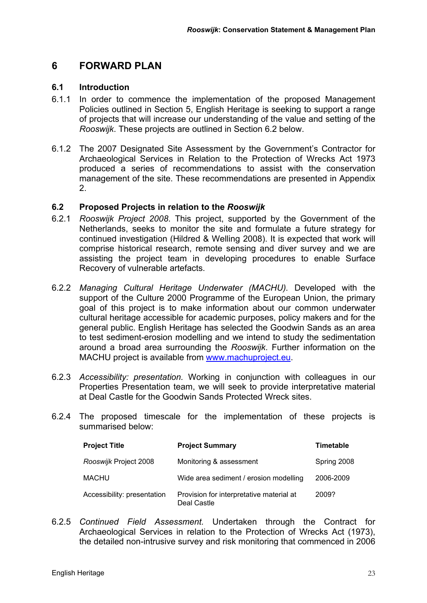## **6 FORWARD PLAN**

#### **6.1 Introduction**

- 6.1.1 In order to commence the implementation of the proposed Management Policies outlined in Section 5, English Heritage is seeking to support a range of projects that will increase our understanding of the value and setting of the *Rooswijk*. These projects are outlined in Section 6.2 below.
- 6.1.2 The 2007 Designated Site Assessment by the Government's Contractor for Archaeological Services in Relation to the Protection of Wrecks Act 1973 produced a series of recommendations to assist with the conservation management of the site. These recommendations are presented in Appendix 2.

#### **6.2 Proposed Projects in relation to the** *Rooswijk*

- 6.2.1 *Rooswijk Project 2008*. This project, supported by the Government of the Netherlands, seeks to monitor the site and formulate a future strategy for continued investigation (Hildred & Welling 2008). It is expected that work will comprise historical research, remote sensing and diver survey and we are assisting the project team in developing procedures to enable Surface Recovery of vulnerable artefacts.
- 6.2.2 *Managing Cultural Heritage Underwater (MACHU).* Developed with the support of the Culture 2000 Programme of the European Union, the primary goal of this project is to make information about our common underwater cultural heritage accessible for academic purposes, policy makers and for the general public. English Heritage has selected the Goodwin Sands as an area to test sediment-erosion modelling and we intend to study the sedimentation around a broad area surrounding the *Rooswijk*. Further information on the MACHU project is available from www.machuproject.eu.
- 6.2.3 *Accessibility: presentation.* Working in conjunction with colleagues in our Properties Presentation team, we will seek to provide interpretative material at Deal Castle for the Goodwin Sands Protected Wreck sites.
- 6.2.4 The proposed timescale for the implementation of these projects is summarised below:

| <b>Project Title</b>        | <b>Project Summary</b>                                  | <b>Timetable</b> |
|-----------------------------|---------------------------------------------------------|------------------|
| Rooswijk Project 2008       | Monitoring & assessment                                 | Spring 2008      |
| MACHU                       | Wide area sediment / erosion modelling                  | 2006-2009        |
| Accessibility: presentation | Provision for interpretative material at<br>Deal Castle | 2009?            |

6.2.5 *Continued Field Assessment.* Undertaken through the Contract for Archaeological Services in relation to the Protection of Wrecks Act (1973), the detailed non-intrusive survey and risk monitoring that commenced in 2006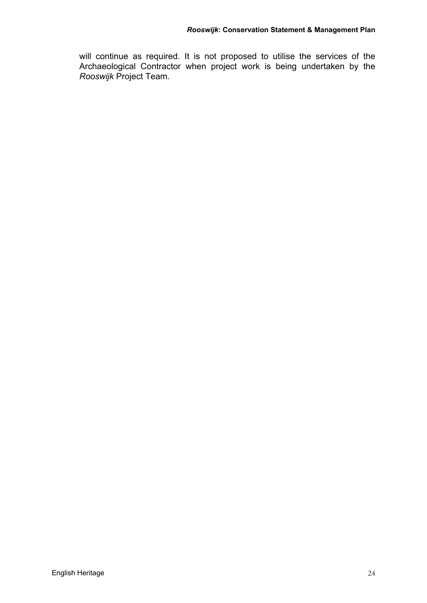will continue as required. It is not proposed to utilise the services of the Archaeological Contractor when project work is being undertaken by the *Rooswijk* Project Team.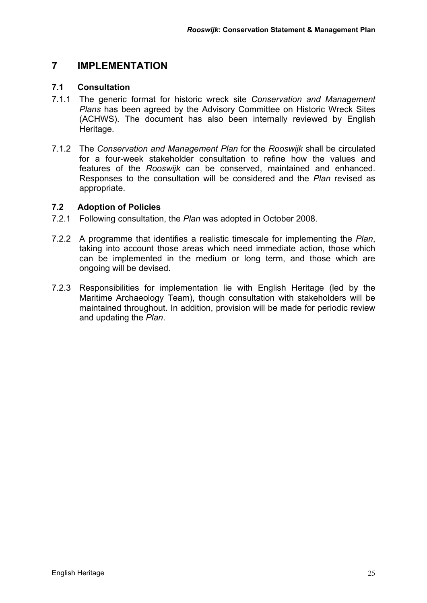### **7 IMPLEMENTATION**

#### **7.1 Consultation**

- 7.1.1 The generic format for historic wreck site *Conservation and Management Plans* has been agreed by the Advisory Committee on Historic Wreck Sites (ACHWS). The document has also been internally reviewed by English Heritage.
- 7.1.2 The *Conservation and Management Plan* for the *Rooswijk* shall be circulated for a four-week stakeholder consultation to refine how the values and features of the *Rooswijk* can be conserved, maintained and enhanced. Responses to the consultation will be considered and the *Plan* revised as appropriate.

#### **7.2 Adoption of Policies**

- 7.2.1 Following consultation, the *Plan* was adopted in October 2008.
- 7.2.2 A programme that identifies a realistic timescale for implementing the *Plan*, taking into account those areas which need immediate action, those which can be implemented in the medium or long term, and those which are ongoing will be devised.
- 7.2.3 Responsibilities for implementation lie with English Heritage (led by the Maritime Archaeology Team), though consultation with stakeholders will be maintained throughout. In addition, provision will be made for periodic review and updating the *Plan*.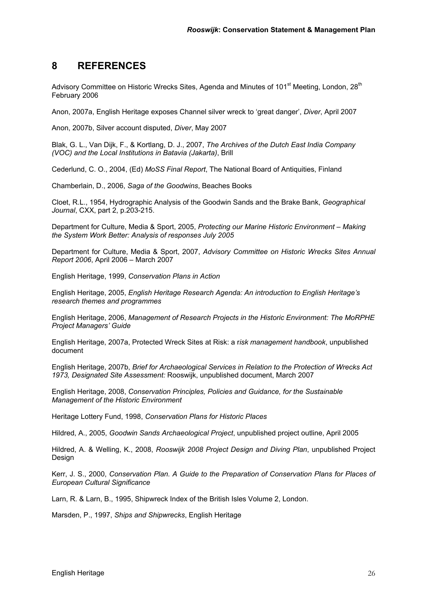### **8 REFERENCES**

Advisory Committee on Historic Wrecks Sites, Agenda and Minutes of 101<sup>st</sup> Meeting, London, 28<sup>th</sup> February 2006

Anon, 2007a, English Heritage exposes Channel silver wreck to 'great danger', *Diver*, April 2007

Anon, 2007b, Silver account disputed, *Diver*, May 2007

Blak, G. L., Van Dijk, F., & Kortlang, D. J., 2007, *The Archives of the Dutch East India Company (VOC) and the Local Institutions in Batavia (Jakarta)*, Brill

Cederlund, C. O., 2004, (Ed) *MoSS Final Report*, The National Board of Antiquities, Finland

Chamberlain, D., 2006, *Saga of the Goodwins*, Beaches Books

Cloet, R.L., 1954, Hydrographic Analysis of the Goodwin Sands and the Brake Bank, *Geographical Journal*, CXX, part 2, p.203-215.

Department for Culture, Media & Sport, 2005, *Protecting our Marine Historic Environment – Making the System Work Better: Analysis of responses July 2005* 

Department for Culture, Media & Sport, 2007, *Advisory Committee on Historic Wrecks Sites Annual Report 2006*, April 2006 – March 2007

English Heritage, 1999, *Conservation Plans in Action*

English Heritage, 2005, *English Heritage Research Agenda: An introduction to English Heritage's research themes and programmes* 

English Heritage, 2006, *Management of Research Projects in the Historic Environment: The MoRPHE Project Managers' Guide*

English Heritage, 2007a, Protected Wreck Sites at Risk: a r*isk management handbook*, unpublished document

English Heritage, 2007b, *Brief for Archaeological Services in Relation to the Protection of Wrecks Act 1973, Designated Site Assessment:* Rooswijk, unpublished document, March 2007

English Heritage, 2008, *Conservation Principles, Policies and Guidance, for the Sustainable Management of the Historic Environment*

Heritage Lottery Fund, 1998, *Conservation Plans for Historic Places* 

Hildred, A., 2005, *Goodwin Sands Archaeological Project*, unpublished project outline, April 2005

Hildred, A. & Welling, K., 2008, *Rooswijk 2008 Project Design and Diving Plan*, unpublished Project Design

Kerr, J. S., 2000, *Conservation Plan. A Guide to the Preparation of Conservation Plans for Places of European Cultural Significance*

Larn, R. & Larn, B., 1995, Shipwreck Index of the British Isles Volume 2, London.

Marsden, P., 1997, *Ships and Shipwrecks*, English Heritage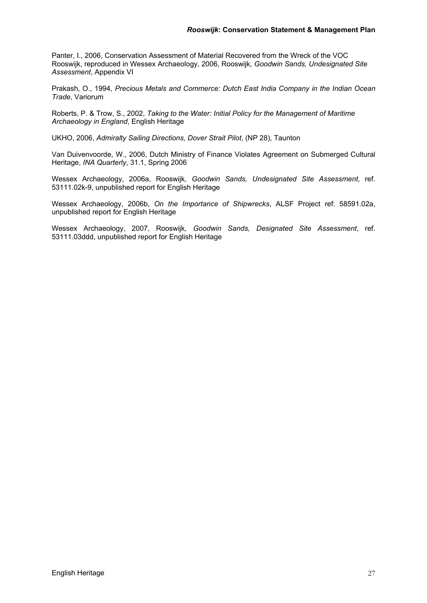Panter, I., 2006, Conservation Assessment of Material Recovered from the Wreck of the VOC Rooswijk, reproduced in Wessex Archaeology, 2006, Rooswijk*, Goodwin Sands, Undesignated Site Assessment*, Appendix VI

Prakash, O., 1994, *Precious Metals and Commerce: Dutch East India Company in the Indian Ocean Trade*, Variorum

Roberts, P. & Trow, S., 2002, *Taking to the Water: Initial Policy for the Management of Maritime Archaeology in England*, English Heritage

UKHO, 2006, *Admiralty Sailing Directions, Dover Strait Pilot*, (NP 28), Taunton

Van Duivenvoorde, W., 2006, Dutch Ministry of Finance Violates Agreement on Submerged Cultural Heritage, *INA Quarterly*, 31.1, Spring 2006

Wessex Archaeology, 2006a, Rooswijk*, Goodwin Sands, Undesignated Site Assessment*, ref. 53111.02k-9, unpublished report for English Heritage

Wessex Archaeology, 2006b, *On the Importance of Shipwrecks*, ALSF Project ref: 58591.02a, unpublished report for English Heritage

Wessex Archaeology, 2007, Rooswijk*, Goodwin Sands, Designated Site Assessment*, ref. 53111.03ddd, unpublished report for English Heritage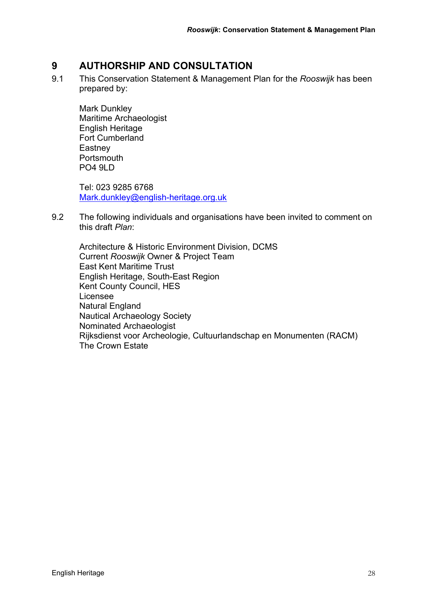### **9 AUTHORSHIP AND CONSULTATION**

9.1 This Conservation Statement & Management Plan for the *Rooswijk* has been prepared by:

 Mark Dunkley Maritime Archaeologist English Heritage Fort Cumberland **Eastney Portsmouth** PO4 9LD

Tel: 023 9285 6768 Mark.dunkley@english-heritage.org.uk

9.2 The following individuals and organisations have been invited to comment on this draft *Plan*:

Architecture & Historic Environment Division, DCMS Current *Rooswijk* Owner & Project Team East Kent Maritime Trust English Heritage, South-East Region Kent County Council, HES Licensee Natural England Nautical Archaeology Society Nominated Archaeologist Rijksdienst voor Archeologie, Cultuurlandschap en Monumenten (RACM) The Crown Estate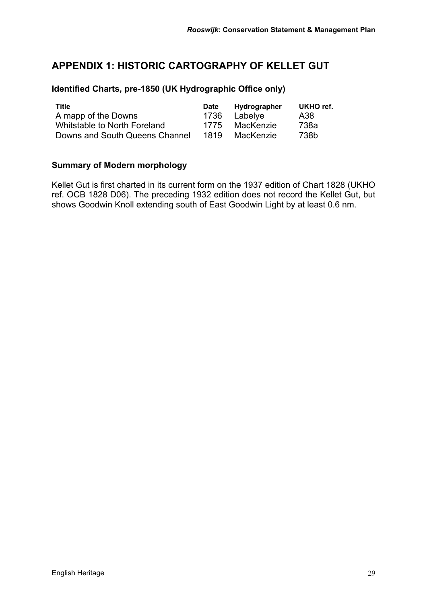## **APPENDIX 1: HISTORIC CARTOGRAPHY OF KELLET GUT**

#### **Identified Charts, pre-1850 (UK Hydrographic Office only)**

| <b>Title</b>                   | <b>Date</b> | Hydrographer | UKHO ref. |
|--------------------------------|-------------|--------------|-----------|
| A mapp of the Downs            | 1736        | Labelye      | A38       |
| Whitstable to North Foreland   | 1775        | MacKenzie    | 738a      |
| Downs and South Queens Channel | 1819        | MacKenzie    | 738b      |

### **Summary of Modern morphology**

Kellet Gut is first charted in its current form on the 1937 edition of Chart 1828 (UKHO ref. OCB 1828 D06). The preceding 1932 edition does not record the Kellet Gut, but shows Goodwin Knoll extending south of East Goodwin Light by at least 0.6 nm.